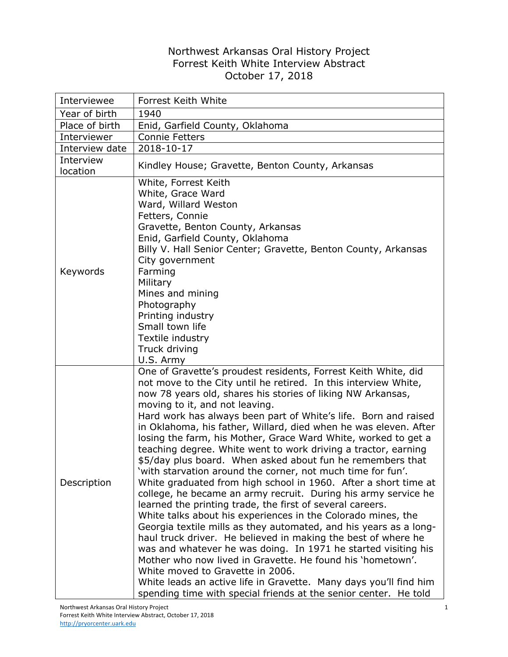## Northwest Arkansas Oral History Project Forrest Keith White Interview Abstract October 17, 2018

| Interviewee           | Forrest Keith White                                                                                                                                                                                                                                                                                                                                                                                                                                                                                                                                                                                                                                                                                                                                                                                                                                                                                                                                                                                                                                                                                                                                                                                                                                                                                                                                             |
|-----------------------|-----------------------------------------------------------------------------------------------------------------------------------------------------------------------------------------------------------------------------------------------------------------------------------------------------------------------------------------------------------------------------------------------------------------------------------------------------------------------------------------------------------------------------------------------------------------------------------------------------------------------------------------------------------------------------------------------------------------------------------------------------------------------------------------------------------------------------------------------------------------------------------------------------------------------------------------------------------------------------------------------------------------------------------------------------------------------------------------------------------------------------------------------------------------------------------------------------------------------------------------------------------------------------------------------------------------------------------------------------------------|
| Year of birth         | 1940                                                                                                                                                                                                                                                                                                                                                                                                                                                                                                                                                                                                                                                                                                                                                                                                                                                                                                                                                                                                                                                                                                                                                                                                                                                                                                                                                            |
| Place of birth        | Enid, Garfield County, Oklahoma                                                                                                                                                                                                                                                                                                                                                                                                                                                                                                                                                                                                                                                                                                                                                                                                                                                                                                                                                                                                                                                                                                                                                                                                                                                                                                                                 |
| Interviewer           | <b>Connie Fetters</b>                                                                                                                                                                                                                                                                                                                                                                                                                                                                                                                                                                                                                                                                                                                                                                                                                                                                                                                                                                                                                                                                                                                                                                                                                                                                                                                                           |
| Interview date        | 2018-10-17                                                                                                                                                                                                                                                                                                                                                                                                                                                                                                                                                                                                                                                                                                                                                                                                                                                                                                                                                                                                                                                                                                                                                                                                                                                                                                                                                      |
| Interview<br>location | Kindley House; Gravette, Benton County, Arkansas                                                                                                                                                                                                                                                                                                                                                                                                                                                                                                                                                                                                                                                                                                                                                                                                                                                                                                                                                                                                                                                                                                                                                                                                                                                                                                                |
| Keywords              | White, Forrest Keith<br>White, Grace Ward<br>Ward, Willard Weston<br>Fetters, Connie<br>Gravette, Benton County, Arkansas<br>Enid, Garfield County, Oklahoma<br>Billy V. Hall Senior Center; Gravette, Benton County, Arkansas<br>City government<br>Farming<br>Military<br>Mines and mining<br>Photography<br>Printing industry<br>Small town life<br>Textile industry<br>Truck driving<br>U.S. Army                                                                                                                                                                                                                                                                                                                                                                                                                                                                                                                                                                                                                                                                                                                                                                                                                                                                                                                                                           |
| Description           | One of Gravette's proudest residents, Forrest Keith White, did<br>not move to the City until he retired. In this interview White,<br>now 78 years old, shares his stories of liking NW Arkansas,<br>moving to it, and not leaving.<br>Hard work has always been part of White's life. Born and raised<br>in Oklahoma, his father, Willard, died when he was eleven. After<br>losing the farm, his Mother, Grace Ward White, worked to get a<br>teaching degree. White went to work driving a tractor, earning<br>\$5/day plus board. When asked about fun he remembers that<br>'with starvation around the corner, not much time for fun'.<br>White graduated from high school in 1960. After a short time at<br>college, he became an army recruit. During his army service he<br>learned the printing trade, the first of several careers.<br>White talks about his experiences in the Colorado mines, the<br>Georgia textile mills as they automated, and his years as a long-<br>haul truck driver. He believed in making the best of where he<br>was and whatever he was doing. In 1971 he started visiting his<br>Mother who now lived in Gravette. He found his 'hometown'.<br>White moved to Gravette in 2006.<br>White leads an active life in Gravette. Many days you'll find him<br>spending time with special friends at the senior center. He told |